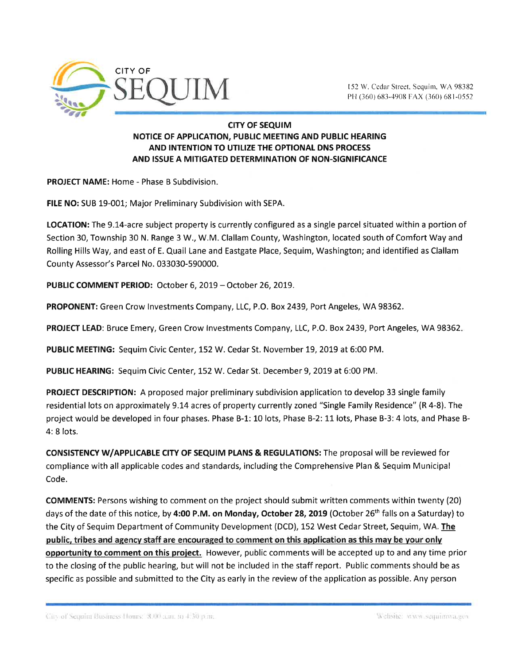

PH (360) 683-4908 FAX (360) 681-0552

## CITY OF SEQUIM NOTICE OF APPLICATION, PUBLIC MEETING AND PUBLIC HEARING AND INTENTION TO UTILIZE THE OPTIONAL DNS PROCESS AND ISSUE A MITIGATED DETERMINATION OF NON-SIGNIFICANCE

PROJECf NAME: Home - Phase B Subdivision.

FILE NO: SUB L9-001; Major Preliminary Subdivision with SEPA.

LOCATION: The 9.14-acre subject property is currently configured as a single parcel situated within a portion of Section 30, Township 30 N. Range 3 W., W.M. Clallam County, Washington, located south of Comfort Way and Rolling Hills Way, and east of E. Quail Lane and Eastgate Place, Sequim, Washington; and identified as Clallam County Assessor's Parcel No. 033030-590000.

PUBLIC COMMENT PERIOD: October 6, 2019 - October 26, 2019.

PROPONENT: Green Crow Investments Company, LLC, P.O. Box 2439, Port Angeles, WA 98362.

PROJECT LEAD: Bruce Emery, Green Crow Investments Company, LLC, P.O. Box 2439, Port Angeles, WA 98362.

PUBLIC MEETING: Sequim Civic Center, 152 W. Cedar St. November 19, 2019 at 6:00 PM.

PUBLIC HEARING: Sequim Civic Center, 152 W. Cedar St. December 9, 2019 at 6:00 PM.

PROJECT DESCRIPTION: A proposed major preliminary subdivision application to develop 33 single family residential lots on approximately 9.14 acres of property currently zoned "Single Family Residence" (R 4-8). The project would be developed in four phases. Phase B-1: 10 lots, Phase B-2: 11 lots, Phase B-3: 4 lots, and Phase B-4: 8 lots.

CONSISTENCY W/APPLICABLE CITY OF SEQUIM PLANS & REGULATIONS: The proposal will be reviewed for compliance with all applicable codes and standards, including the Comprehensive Plan & Sequim Municipal Code.

COMMENTS: Persons wishing to comment on the project should submit written comments within twenty (20) days of the date of this notice, by 4:00 P.M. on Monday, October 28, 2019 (October 26<sup>th</sup> falls on a Saturday) to the City of Sequim Department of Community Development (DCD), 152 West Cedar Street, Sequim, WA. The public, tribes and agencv staff are encouraged to comment on this application as this mav be vour onlv opportunity to comment on this project. However, public comments will be accepted up to and any time prior to the closing of the public hearing, but will not be included in the staff report. Public comments should be as specific as possible and submitted to the City as early in the review of the application as possible. Any person

Uliv of Sequim Business Hours: 8.00 a.m. to 4.30 p.m.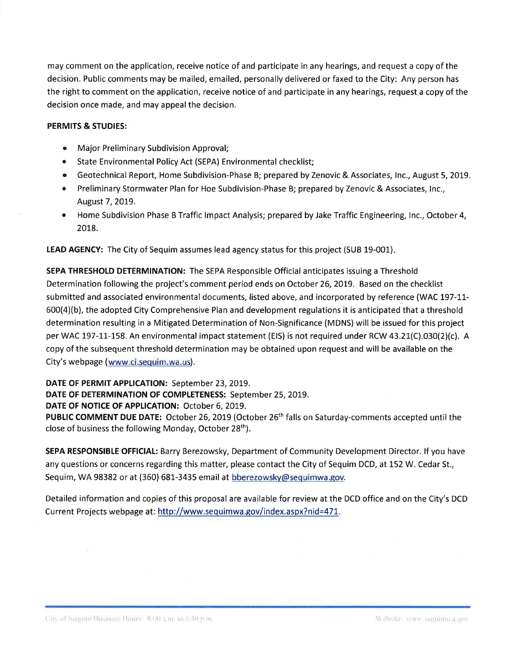may comment on the application, receive notice of and participate in any hearings, and request a copy of the decision. Public comments may be mailed, emailed, personally delivered or faxed to the City: Any person has the right to comment on the application, receive notice of and participate in any hearings, request a copy of the decision once made, and may appeal the decision.

## PERMITS & STUDIES:

- o Major Preliminary Subdivision Approval;
- ¡ State Environmental Policy Act (SEPA) Environmental checklist;
- o Geotechnical Report, Home Subdivision-Phase B; prepared by Zenovic & Associates, lnc., August 5,2019.
- o Preliminary Stormwater Plan for Hoe Subdivision-Phase B; prepared by Zenovic & Associates, lnc., August 7, 2019.
- Home Subdivision Phase B Traffic Impact Analysis; prepared by Jake Traffic Engineering, Inc., October 4, 2078.

LEAD AGENCY: The City of Sequim assumes lead agency status for this project (SUB 19-001).

SEPA THRESHOLD DETERMINATION: The SEPA Responsible Official anticipates issuing a Threshold Determination following the project's comment period ends on October 26, 2019. Based on the checklist submitted and associated environmental documents, listed above, and incorporated by reference (WAC 197-11- $600(4)(b)$ , the adopted City Comprehensive Plan and development regulations it is anticipated that a threshold determination resulting in a Mitigated Determination of Non-Significance (MDNS) will be issued for this project per WAC 197-11-158. An environmental impact statement (EIS) is not required under RCW 43.21(C).030(2)(c). A copy of the subsequent threshold determination may be obtained upon request and wíll be available on the City's webpage (www.ci.sequim.wa.us).

DATE OF PERMIT APPLICATION: September 23, 2019.

DATE OF DETERMINATION OF COMPLETENESS: September 25, 2019.

DATE OF NOTICE OF APPLICATION: October 6, 2019.

PUBLIC COMMENT DUE DATE: October 26, 2019 (October 26<sup>th</sup> falls on Saturday-comments accepted until the close of business the following Monday, October 28<sup>th</sup>).

SEPA RESPONSIBLE OFFICIAL: Barry Berezowsky, Department of Community Development Director. lf you have any questions or concerns regarding this matter, please contact the City of Sequim DCD, at 152 W. Cedar St., Sequim, WA 98382 or at (360) 681-3435 email at bberezowsky@sequimwa.gov.

Detailed information and copies of this proposal are available for review at the DCD office and on the City's DCD Current Projects webpage at: http://www.sequimwa.gov/index.aspx?nid=471.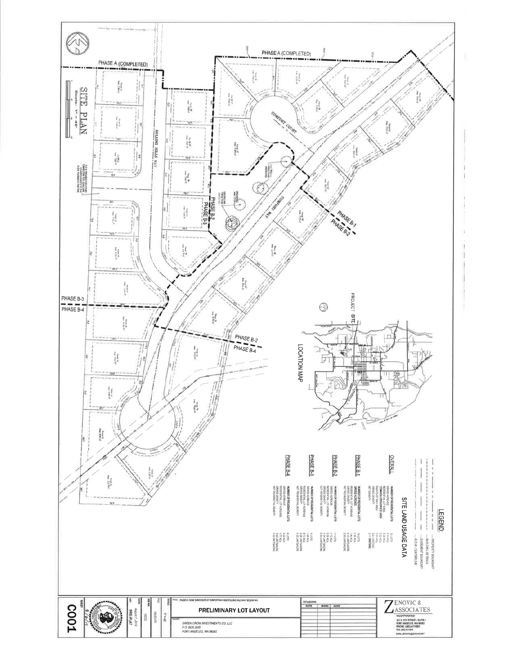